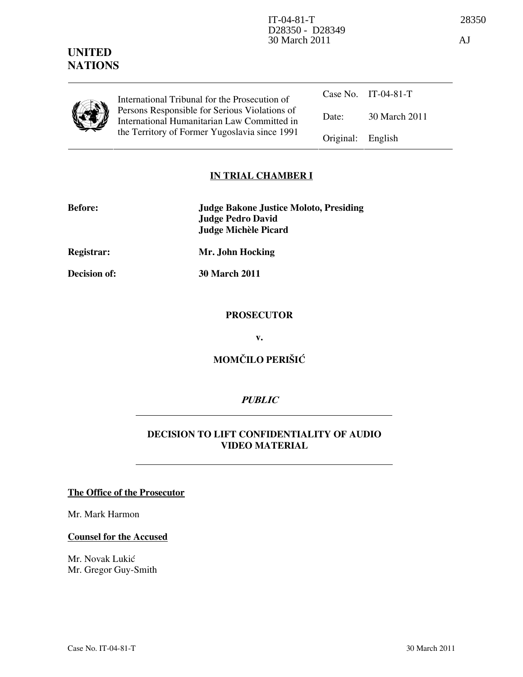| <b>UNITED</b>  |
|----------------|
| <b>NATIONS</b> |

|  | International Tribunal for the Prosecution of                                                |                   | Case No. IT-04-81-T |
|--|----------------------------------------------------------------------------------------------|-------------------|---------------------|
|  | Persons Responsible for Serious Violations of<br>International Humanitarian Law Committed in | Date:             | 30 March 2011       |
|  | the Territory of Former Yugoslavia since 1991                                                | Original: English |                     |

# IN TRIAL CHAMBER I

| <b>Before:</b> | <b>Judge Bakone Justice Moloto, Presiding</b> |
|----------------|-----------------------------------------------|
|                | Judge Pedro David                             |
|                | Judge Michèle Picard                          |

Registrar: Mr. John Hocking

Decision of: 30 March 2011

# **PROSECUTOR**

v.

# MOMČILO PERIŠIĆ

# PUBLIC

# DECISION TO LIFT CONFIDENTIALITY OF AUDIO VIDEO MATERIAL

The Office of the Prosecutor

Mr. Mark Harmon

#### Counsel for the Accused

Mr. Novak Lukić Mr. Gregor Guy-Smith